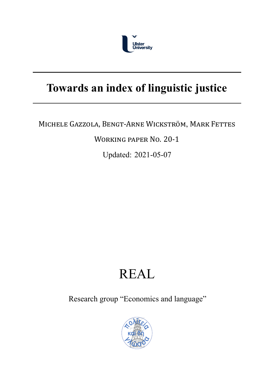

## **Towards an index of linguistic justice**

### MICHELE GAZZOLA, BENGT‐ARNE WICKSTRÖM, MARK FETTES

WORKING PAPER NO. 20‐1

Updated: 2021-05-07

# REAL

Research group "Economics and language"

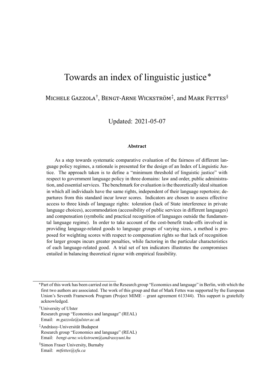## Towards an index of linguistic justice\*

MICHELE GAZZOLA<sup>†</sup>, BENGT-ARNE WICKSTRÖM<sup>‡</sup>, and MARK FETTES<sup>§</sup>

Updated: 2021-05-07

#### **Abstract**

As a step towards systematic comparative evaluation of the fairness of different language policy regimes, a rationale is presented for the design of an Index of Linguistic Justice. The approach taken is to define a "minimum threshold of linguistic justice" with respect to government language policy in three domains: law and order, public administration, and essential services. The benchmark for evaluation is the theoretically ideal situation in which all individuals have the same rights, independent of their language repertoire; departures from this standard incur lower scores. Indicators are chosen to assess effective access to three kinds of language rights: toleration (lack of State interference in private language choices), accommodation (accessibility of public services in different languages) and compensation (symbolic and practical recognition of languages outside the fundamental language regime). In order to take account of the cost-benefit trade-offs involved in providing language-related goods to language groups of varying sizes, a method is proposed for weighting scores with respect to compensation rights so that lack of recognition for larger groups incurs greater penalties, while factoring in the particular characteristics of each language-related good. A trial set of ten indicators illustrates the compromises entailed in balancing theoretical rigour with empirical feasibility.

§Simon Fraser University, Burnaby Email: *mtfettes@sfu.ca*

<sup>\*</sup>Part of this work has been carried out in the Research group "Economics and language" in Berlin, with which the first two authors are associated. The work of this group and that of Mark Fettes was supported by the European Union's Seventh Framework Program (Project MIME – grant agreement 613344). This support is gratefully acknowledged.

<sup>†</sup>University of Ulster Research group "Economics and language" (REAL) Email: *m.gazzola@ulster.ac.uk*

<sup>‡</sup>Andrássy-Universität Budapest Research group "Economics and language" (REAL) Email: *bengt-arne.wickstroem@andrassyuni.hu*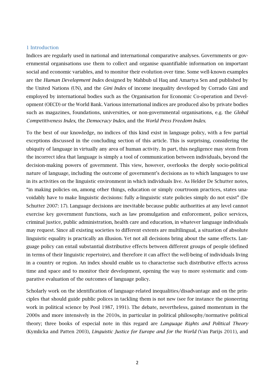#### 1 Introduction

Indices are regularly used in national and international comparative analyses. Governments or governmental organisations use them to collect and organise quantifiable information on important social and economic variables, and to monitor their evolution over time. Some well-known examples are the *Human Development Index* designed by Mahbub ul Haq and Amartya Sen and published by the United Nations (UN), and the *Gini Index* of income inequality developed by Corrado Gini and employed by international bodies such as the Organisation for Economic Co-operation and Development (OECD) or the World Bank. Various international indices are produced also by private bodies such as magazines, foundations, universities, or non-governmental organisations, e.g. the *Global Competitiveness Index*, the *Democracy Index*, and the *World Press Freedom Index*.

To the best of our knowledge, no indices of this kind exist in language policy, with a few partial exceptions discussed in the concluding section of this article. This is surprising, considering the ubiquity of language in virtually any area of human activity. In part, this negligence may stem from the incorrect idea that language is simply a tool of communication between individuals, beyond the decision-making powers of government. This view, however, overlooks the deeply socio-political nature of language, including the outcome of government's decisions as to which languages to use in its activities on the linguistic environment in which individuals live. As Helder De Schutter notes, "in making policies on, among other things, education or simply courtroom practices, states unavoidably have to make linguistic decisions: fully a-linguistic state policies simply do not exist" (De Schutter 2007: 17). Language decisions are inevitable because public authorities at any level cannot exercise key government functions, such as law promulgation and enforcement, police services, criminal justice, public administration, health care and education, in whatever language individuals may request. Since all existing societies to different extents are multilingual, a situation of absolute linguistic equality is practically an illusion. Yet not all decisions bring about the same effects. Language policy can entail substantial distributive effects between different groups of people (defined in terms of their linguistic repertoire), and therefore it can affect the well-being of individuals living in a country or region. An index should enable us to characterise such distributive effects across time and space and to monitor their development, opening the way to more systematic and comparative evaluation of the outcomes of language policy.

Scholarly work on the identification of language-related inequalities/disadvantage and on the principles that should guide public polices in tackling them is not new (see for instance the pioneering work in political science by Pool 1987, 1991). The debate, nevertheless, gained momentum in the 2000s and more intensively in the 2010s, in particular in political philosophy/normative political theory; three books of especial note in this regard are *Language Rights and Political Theory* (Kymlicka and Patten 2003), *Linguistic Justice for Europe and for the World* (Van Parijs 2011), and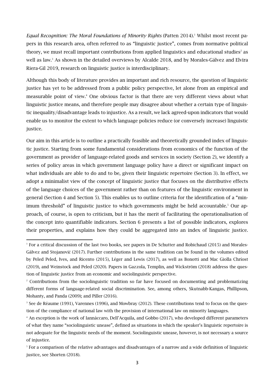*Equal Recognition: The Moral Foundations of Minority Rights* (Patten 2014).<sup>1</sup> Whilst most recent papers in this research area, often referred to as "linguistic justice", comes from normative political theory, we must recall important contributions from applied linguistics and educational studies<sup>2</sup> as well as law. <sup>3</sup> As shown in the detailed overviews by Alcalde 2018, and by Morales-Gálvez and Elvira Riera-Gil 2019, research on linguistic justice is interdisciplinary.

Although this body of literature provides an important and rich resource, the question of linguistic justice has yet to be addressed from a public policy perspective, let alone from an empirical and measurable point of view. <sup>4</sup> One obvious factor is that there are very different views about what linguistic justice means, and therefore people may disagree about whether a certain type of linguistic inequality/disadvantage leads to injustice. As a result, we lack agreed-upon indicators that would enable us to monitor the extent to which language policies reduce (or conversely increase) linguistic justice.

Our aim in this article is to outline a practically feasible and theoretically grounded index of linguistic justice. Starting from some fundamental considerations from economics of the function of the government as provider of language-related goods and services in society (Section 2), we identify a series of policy areas in which government language policy have a direct or significant impact on what individuals are able to do and to be, given their linguistic repertoire (Section 3). In effect, we adopt a minimalist view of the concept of linguistic justice that focuses on the distributive effects of the language choices of the government rather than on features of the linguistic environment in general (Section 4 and Section 5). This enables us to outline criteria for the identification of a "minimum threshold" of linguistic justice to which governments might be held accountable. <sup>5</sup> Our approach, of course, is open to criticism, but it has the merit of facilitating the operationalisation of the concept into quantifiable indicators. Section 6 presents a list of possible indicators, explores their properties, and explains how they could be aggregated into an index of linguistic justice.

<sup>&</sup>lt;sup>1</sup> For a critical discussion of the last two books, see papers in De Schutter and Robichaud (2015) and Morales-Gálvez and Stojanović (2017). Further contributions in the same tradition can be found in the volumes edited by Peled Peled, Ives, and Ricento (2015), Léger and Lewis (2017), as well as Bonotti and Mac Giolla Chríost (2019), and Weinstock and Peled (2020). Papers in Gazzola, Templin, and Wickström (2018) address the question of linguistic justice from an economic and sociolinguistic perspective.

<sup>&</sup>lt;sup>2</sup> Contributions from the sociolinguistic tradition so far have focused on documenting and problematizing different forms of language-related social discrimination. See, among others, Skutnabb-Kangas, Phillipson, Mohanty, and Panda (2009); and Piller (2016).

<sup>&</sup>lt;sup>3</sup> See de Réaume (1991), Varennes (1996), and Mowbray (2012). These contributions tend to focus on the question of the compliance of national law with the provision of international law on minority languages.

<sup>4</sup> An exception is the work of Iannàccaro, Dell'Acquila, and Gobbo (2017), who developed different parameters of what they name "sociolinguistic unease", defined as situations in which the speaker's linguistic repertoire is not adequate for the linguistic needs of the moment. Sociolinguistic unease, however, is not necessary a source of injustice.

<sup>5</sup> For a comparison of the relative advantages and disadvantages of a narrow and a wide definition of linguistic justice, see Shorten (2018).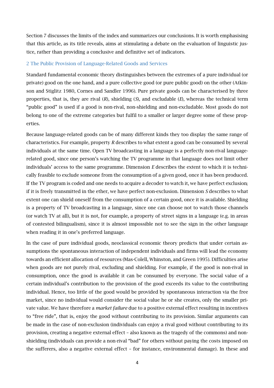Section 7 discusses the limits of the index and summarizes our conclusions. It is worth emphasising that this article, as its title reveals, aims at stimulating a debate on the evaluation of linguistic justice, rather than providing a conclusive and definitive set of indicators.

#### 2 The Public Provision of Language-Related Goods and Services

Standard fundamental economic theory distinguishes between the extremes of a pure individual (or private) good on the one hand, and a pure collective good (or pure public good) on the other (Atkinson and Stiglitz 1980, Cornes and Sandler 1996). Pure private goods can be characterised by three properties, that is, they are rival (*R*), shielding (*S*), and excludable (*E*), whereas the technical term "public good" is used if a good is non-rival, non-shielding and non-excludable. Most goods do not belong to one of the extreme categories but fulfil to a smaller or larger degree some of these properties.

Because language-related goods can be of many different kinds they too display the same range of characteristics. For example, property *R* describes to what extent a good can be consumed by several individuals at the same time. Open TV broadcasting in a language is a perfectly non-rival languagerelated good, since one person's watching the TV programme in that language does not limit other individuals' access to the same programme. Dimension *E* describes the extent to which it is technically feasible to exclude someone from the consumption of a given good, once it has been produced. If the TV program is coded and one needs to acquire a decoder to watch it, we have perfect exclusion; if it is freely transmitted in the ether, we have perfect non-exclusion. Dimension *S* describes to what extent one can shield oneself from the consumption of a certain good, once it is available. Shielding is a property of TV broadcasting in a language, since one can choose not to watch those channels (or watch TV at all), but it is not, for example, a property of street signs in a language (e.g. in areas of contested bilingualism), since it is almost impossible not to see the sign in the other language when reading it in one's preferred language.

In the case of pure individual goods, neoclassical economic theory predicts that under certain assumptions the spontaneous interaction of independent individuals and firms will lead the economy towards an efficient allocation of resources (Mas-Colell, Whinston, and Green 1995). Difficulties arise when goods are not purely rival, excluding and shielding. For example, if the good is non-rival in consumption, once the good is available it can be consumed by everyone. The social value of a certain individual's contribution to the provision of the good exceeds its value to the contributing individual. Hence, too little of the good would be provided by spontaneous interaction via the free market, since no individual would consider the social value he or she creates, only the smaller private value. We have therefore a *market failure* due to a positive external effect resulting in incentives to "free ride", that is, enjoy the good without contributing to its provision. Similar arguments can be made in the case of non-exclusion (individuals can enjoy a rival good without contributing to its provision, creating a negative external effect – also known as the tragedy of the commons) and nonshielding (individuals can provide a non-rival "bad" for others without paying the costs imposed on the sufferers, also a negative external effect – for instance, environmental damage). In these and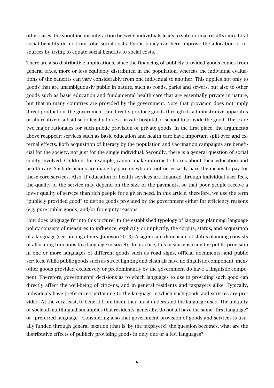other cases, the spontaneous interaction between individuals leads to sub-optimal results since total social benefits differ from total social costs. Public policy can here improve the allocation of resources by trying to equate social benefits to social costs.

There are also distributive implications, since the financing of publicly provided goods comes from general taxes, more or less equitably distributed in the population, whereas the individual evaluations of the benefits can vary considerably from one individual to another. This applies not only to goods that are unambiguously public in nature, such as roads, parks and sewers, but also to other goods such as basic education and fundamental health care that are essentially private in nature, but that in many countries are provided by the government. Note that provision does not imply direct production; the government can directly produce goods through its administrative apparatus or alternatively subsidise or legally force a private hospital or school to provide the good. There are two major rationales for such public provision of private goods. In the first place, the arguments above reappear: services such as basic education and health care have important spill-over and external effects. Both acquisition of literacy by the population and vaccination campaigns are beneficial for the society, not just for the single individual. Secondly, there is a general question of social equity involved. Children, for example, cannot make informed choices about their education and health care. Such decisions are made by parents who do not necessarily have the means to pay for these core services. Also, if education or health services are financed through individual user fees, the quality of the service may depend on the size of the payments, so that poor people receive a lower quality of service than rich people for a given need. In this article, therefore, we use the term "publicly provided good" to define goods provided by the government either for efficiency reasons (e.g. pure public goods) and/or for equity reasons.

How does language fit into this picture? In the established typology of language planning, language policy consists of measures to influence, explicitly or implicitly, the corpus, status, and acquisition of a language (see, among others, Johnson 2013). A significant dimension of status planning consists of allocating functions to a language in society. In practice, this means ensuring the public provision in one or more languages of different goods such as road signs, official documents, and public services. While public goods such as street lighting and clean air have no linguistic component, many other goods provided exclusively or predominantly by the government do have a linguistic component. Therefore, governments' decisions as to which languages to use in providing such good can directly affect the well-being of citizens, and in general residents and taxpayers alike. Typically, individuals have preferences pertaining to the language in which such goods and services are provided. At the very least, to benefit from them, they must understand the language used. The ubiquity of societal multilingualism implies that residents, generally, do not all have the same "first language" or "preferred language". Considering also that government provision of goods and services is usually funded through general taxation (that is, by the taxpayers), the question becomes, what are the distributive effects of publicly providing goods in only one or a few languages?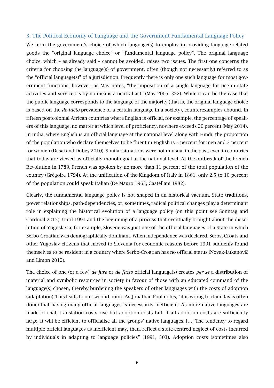#### 3. The Political Economy of Language and the Government Fundamental Language Policy

We term the government's choice of which language(s) to employ in providing language-related goods the "original language choice" or "fundamental language policy". The original language choice, which – as already said – cannot be avoided, raises two issues. The first one concerns the criteria for choosing the language(s) of government, often (though not necessarily) referred to as the "official language(s)" of a jurisdiction. Frequently there is only one such language for most government functions; however, as May notes, "the imposition of a single language for use in state activities and services is by no means a neutral act" (May 2005: 322). While it can be the case that the public language corresponds to the language of the majority (that is, the original language choice is based on the *de facto* prevalence of a certain language in a society), counterexamples abound. In fifteen postcolonial African countries where English is official, for example, the percentage of speakers of this language, no matter at which level of proficiency, nowhere exceeds 20 percent (May 2014). In India, where English is an official language at the national level along with Hindi, the proportion of the population who declare themselves to be fluent in English is 5 percent for men and 3 percent for women (Desai and Dubey 2010). Similar situations were not unusual in the past, even in countries that today are viewed as officially monolingual at the national level. At the outbreak of the French Revolution in 1789, French was spoken by no more than 11 percent of the total population of the country (Grégoire 1794). At the unification of the Kingdom of Italy in 1861, only 2.5 to 10 percent of the population could speak Italian (De Mauro 1963, Castellani 1982).

Clearly, the fundamental language policy is not shaped in an historical vacuum. State traditions, power relationships, path-dependencies, or, sometimes, radical political changes play a determinant role in explaining the historical evolution of a language policy (on this point see Sonntag and Cardinal 2015). Until 1991 and the beginning of a process that eventually brought about the dissolution of Yugoslavia, for example, Slovene was just one of the official languages of a State in which Serbo-Croatian was demographically dominant. When independence was declared, Serbs, Croats and other Yugoslav citizens that moved to Slovenia for economic reasons before 1991 suddenly found themselves to be resident in a country where Serbo-Croatian has no official status (Novak-Lukanovič and Limon 2012).

The choice of one (or a few) *de jure* or *de facto* official language(s) creates *per se* a distribution of material and symbolic resources in society in favour of those with an educated command of the language(s) chosen, thereby burdening the speakers of other languages with the costs of adoption (adaptation).This leads to our second point. As Jonathan Pool notes, "it is wrong to claim (as is often done) that having many official languages is necessarily inefficient. As more native languages are made official, translation costs rise but adoption costs fall. If all adoption costs are sufficiently large, it will be efficient to officialise all the groups' native languages. […] The tendency to regard multiple official languages as inefficient may, then, reflect a state-centred neglect of costs incurred by individuals in adapting to language policies" (1991, 503). Adoption costs (sometimes also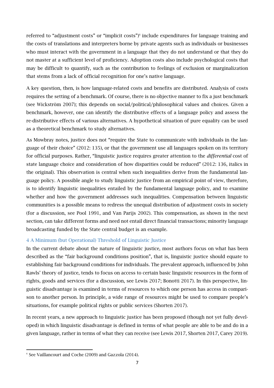referred to "adjustment costs" or "implicit costs")<sup>6</sup> include expenditures for language training and the costs of translations and interpreters borne by private agents such as individuals or businesses who must interact with the government in a language that they do not understand or that they do not master at a sufficient level of proficiency. Adoption costs also include psychological costs that may be difficult to quantify, such as the contribution to feelings of exclusion or marginalization that stems from a lack of official recognition for one's native language.

A key question, then, is how language-related costs and benefits are distributed. Analysis of costs requires the setting of a benchmark. Of course, there is no objective manner to fix a just benchmark (see Wickström 2007); this depends on social/political/philosophical values and choices. Given a benchmark, however, one can identify the distributive effects of a language policy and assess the re-distributive effects of various alternatives. A hypothetical situation of pure equality can be used as a theoretical benchmark to study alternatives.

As Mowbray notes, justice does not "require the State to communicate with individuals in the language of their choice" (2012: 135), or that the government use all languages spoken on its territory for official purposes. Rather, "linguistic justice requires greater attention to the *differential* cost of state language choice and consideration of how disparities could be reduced" (2012: 136, italics in the original). This observation is central when such inequalities derive from the fundamental language policy. A possible angle to study linguistic justice from an empirical point of view, therefore, is to identify linguistic inequalities entailed by the fundamental language policy, and to examine whether and how the government addresses such inequalities. Compensation between linguistic communities is a possible means to redress the unequal distribution of adjustment costs in society (for a discussion, see Pool 1991, and Van Parijs 2002). This compensation, as shown in the next section, can take different forms and need not entail direct financial transactions; minority language broadcasting funded by the State central budget is an example.

#### 4 A Minimum (but Operational) Threshold of Linguistic Justice

In the current debate about the nature of linguistic justice, most authors focus on what has been described as the "fair background conditions position", that is, linguistic justice should equate to establishing fair background conditions for individuals. The prevalent approach, influenced by John Rawls' theory of justice, tends to focus on access to certain basic linguistic resources in the form of rights, goods and services (for a discussion, see Lewis 2017; Bonotti 2017). In this perspective, linguistic disadvantage is examined in terms of resources to which one person has access in comparison to another person. In principle, a wide range of resources might be used to compare people's situations, for example political rights or public services (Shorten 2017).

In recent years, a new approach to linguistic justice has been proposed (though not yet fully developed) in which linguistic disadvantage is defined in terms of what people are able to be and do in a given language, rather in terms of what they can receive (see Lewis 2017, Shorten 2017, Carey 2019).

<sup>&</sup>lt;sup>6</sup> See Vaillancourt and Coche (2009) and Gazzola (2014).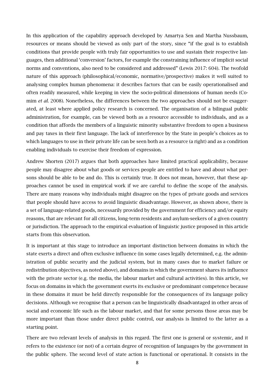In this application of the capability approach developed by Amartya Sen and Martha Nussbaum, resources or means should be viewed as only part of the story, since "if the goal is to establish conditions that provide people with truly fair opportunities to use and sustain their respective languages, then additional 'conversion' factors, for example the constraining influence of implicit social norms and conventions, also need to be considered and addressed" (Lewis 2017: 604). The twofold nature of this approach (philosophical/economic, normative/prospective) makes it well suited to analysing complex human phenomena: it describes factors that can be easily operationalised and often readily measured, while keeping in view the socio-political dimensions of human needs (Comim *et al.* 2008). Nonetheless, the differences between the two approaches should not be exaggerated, at least where applied policy research is concerned. The organisation of a bilingual public administration, for example, can be viewed both as a resource accessible to individuals, and as a condition that affords the members of a linguistic minority substantive freedom to open a business and pay taxes in their first language. The lack of interference by the State in people's choices as to which languages to use in their private life can be seen both as a resource (a right) and as a condition enabling individuals to exercise their freedom of expression.

Andrew Shorten (2017) argues that both approaches have limited practical applicability, because people may disagree about what goods or services people are entitled to have and about what persons should be able to be and do. This is certainly true. It does not mean, however, that these approaches cannot be used in empirical work if we are careful to define the scope of the analysis. There are many reasons why individuals might disagree on the types of private goods and services that people should have access to avoid linguistic disadvantage. However, as shown above, there is a set of language-related goods, necessarily provided by the government for efficiency and/or equity reasons, that are relevant for all citizens, long-term residents and asylum-seekers of a given country or jurisdiction. The approach to the empirical evaluation of linguistic justice proposed in this article starts from this observation.

It is important at this stage to introduce an important distinction between domains in which the state exerts a direct and often exclusive influence (in some cases legally determined, e.g. the administration of public security and the judicial system, but in many cases due to market failure or redistribution objectives, as noted above), and domains in which the government shares its influence with the private sector (e.g. the media, the labour market and cultural activities). In this article, we focus on domains in which the government exerts its exclusive or predominant competence because in these domains it must be held directly responsible for the consequences of its language policy decisions. Although we recognise that a person can be linguistically disadvantaged in other areas of social and economic life such as the labour market, and that for some persons those areas may be more important than those under direct public control, our analysis is limited to the latter as a starting point.

There are two relevant levels of analysis in this regard. The first one is general or systemic, and it refers to the existence (or not) of a certain degree of recognition of languages by the government in the public sphere. The second level of state action is functional or operational. It consists in the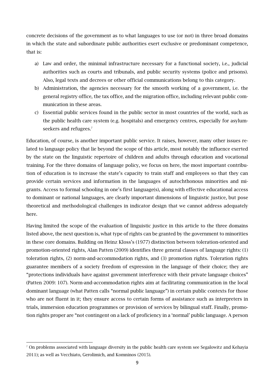concrete decisions of the government as to what languages to use (or not) in three broad domains in which the state and subordinate public authorities exert exclusive or predominant competence, that is:

- a) Law and order, the minimal infrastructure necessary for a functional society, i.e., judicial authorities such as courts and tribunals, and public security systems (police and prisons). Also, legal texts and decrees or other official communications belong to this category.
- b) Administration, the agencies necessary for the smooth working of a government, i.e. the general registry office, the tax office, and the migration office, including relevant public communication in these areas.
- c) Essential public services found in the public sector in most countries of the world, such as the public health care system (e.g. hospitals) and emergency centres, especially for asylumseekers and refugees.<sup>7</sup>

Education, of course, is another important public service. It raises, however, many other issues related to language policy that lie beyond the scope of this article, most notably the influence exerted by the state on the linguistic repertoire of children and adults through education and vocational training. For the three domains of language policy, we focus on here, the most important contribution of education is to increase the state's capacity to train staff and employees so that they can provide certain services and information in the languages of autochthonous minorities and migrants. Access to formal schooling in one's first language(s), along with effective educational access to dominant or national languages, are clearly important dimensions of linguistic justice, but pose theoretical and methodological challenges in indicator design that we cannot address adequately here.

Having limited the scope of the evaluation of linguistic justice in this article to the three domains listed above, the next question is, what type of rights can be granted by the government to minorities in these core domains. Building on Heinz Kloss's (1977) distinction between toleration-oriented and promotion-oriented rights, Alan Patten (2009) identifies three general classes of language rights: (1) toleration rights, (2) norm-and-accommodation rights, and (3) promotion rights. Toleration rights guarantee members of a society freedom of expression in the language of their choice; they are "protections individuals have against government interference with their private language choices" (Patten 2009: 107). Norm-and-accommodation rights aim at facilitating communication in the local dominant language (what Patten calls "normal public language") in certain public contexts for those who are not fluent in it; they ensure access to certain forms of assistance such as interpreters in trials, immersion education programmes or provision of services by bilingual staff. Finally, promotion rights proper are "not contingent on a lack of proficiency in a 'normal' public language. A person

<sup>&</sup>lt;sup>7</sup> On problems associated with language diversity in the public health care system see Segalowitz and Kehayia 2011); as well as Vecchiato, Gerolimich, and Komninos (2015).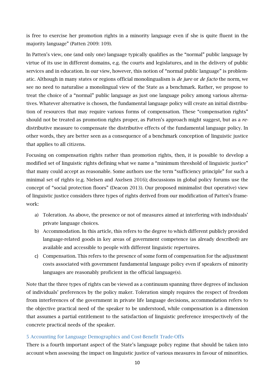is free to exercise her promotion rights in a minority language even if she is quite fluent in the majority language" (Patten 2009: 109).

In Patten's view, one (and only one) language typically qualifies as the "normal" public language by virtue of its use in different domains, e.g. the courts and legislatures, and in the delivery of public services and in education. In our view, however, this notion of "normal public language" is problematic. Although in many states or regions official monolingualism is *de jure* or *de facto* the norm, we see no need to naturalise a monolingual view of the State as a benchmark. Rather, we propose to treat the choice of a "normal" public language as just one language policy among various alternatives. Whatever alternative is chosen, the fundamental language policy will create an initial distribution of resources that may require various forms of compensation. These "compensation rights" should not be treated as promotion rights proper, as Patten's approach might suggest, but as a *re*distributive measure to compensate the distributive effects of the fundamental language policy. In other words, they are better seen as a consequence of a benchmark conception of linguistic justice that applies to all citizens.

Focusing on compensation rights rather than promotion rights, then, it is possible to develop a modified set of linguistic rights defining what we name a "minimum threshold of linguistic justice" that many could accept as reasonable. Some authors use the term "sufficiency principle" for such a minimal set of rights (e.g. Nielsen and Axelsen 2016); discussions in global policy forums use the concept of "social protection floors" (Deacon 2013). Our proposed minimalist (but operative) view of linguistic justice considers three types of rights derived from our modification of Patten's framework:

- a) Toleration. As above, the presence or not of measures aimed at interfering with individuals' private language choices.
- b) Accommodation. In this article, this refers to the degree to which different publicly provided language-related goods in key areas of government competence (as already described) are available and accessible to people with different linguistic repertoires.
- c) Compensation. This refers to the presence of some form of compensation for the adjustment costs associated with government fundamental language policy even if speakers of minority languages are reasonably proficient in the official language(s).

Note that the three types of rights can be viewed as a continuum spanning three degrees of inclusion of individuals' preferences by the policy maker. Toleration simply requires the respect of freedom from interferences of the government in private life language decisions, accommodation refers to the objective practical need of the speaker to be understood, while compensation is a dimension that assumes a partial entitlement to the satisfaction of linguistic preference irrespectively of the concrete practical needs of the speaker.

#### 5 Accounting for Language Demographics and Cost-Benefit Trade-Offs

There is a fourth important aspect of the State's language policy regime that should be taken into account when assessing the impact on linguistic justice of various measures in favour of minorities.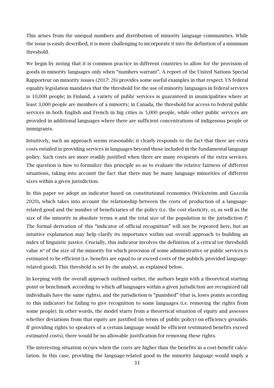This arises from the unequal numbers and distribution of minority language communities. While the issue is easily described, it is more challenging to incorporate it into the definition of a minimum threshold.

We begin by noting that it is common practice in different countries to allow for the provision of goods in minority languages only when "numbers warrant". A report of the United Nations Special Rapporteur on minority issues (2017: 26) provides some useful examples in that respect. US federal equality legislation mandates that the threshold for the use of minority languages in federal services is 10,000 people; in Finland, a variety of public services is guaranteed in municipalities where at least 3,000 people are members of a minority; in Canada, the threshold for access to federal public services in both English and French in big cities is 5,000 people, while other public services are provided in additional languages where there are sufficient concentrations of indigenous people or immigrants.

Intuitively, such an approach seems reasonable; it clearly responds to the fact that there are extra costs entailed in providing services in languages beyond those included in the fundamental language policy. Such costs are more readily justified when there are many recipients of the extra services. The question is how to formalize this principle so as to evaluate the relative fairness of different situations, taking into account the fact that there may be many language minorities of different sizes within a given jurisdiction.

In this paper we adopt an indicator based on constitutional economics (Wickström and Gazzola 2020), which takes into account the relationship between the costs of production of a languagerelated good and the number of beneficiaries of the policy (i.e. the cost elasticity,  $\sigma$ ), as well as the size of the minority in absolute terms *n* and the total size of the population in the jurisdiction *P*. The formal derivation of this "indicator of official recognition" will not be repeated here, but an intuitive explanation may help clarify its importance within our overall approach to building an index of linguistic justice. Crucially, this indicator involves the definition of a critical (or threshold) value *n\** of the size of the minority for which provision of some administrative or public services is estimated to be efficient (i.e. benefits are equal to or exceed costs of the publicly provided languagerelated good). This threshold is set by the analyst, as explained below.

In keeping with the overall approach outlined earlier, the authors begin with a theoretical starting point or benchmark according to which *all* languages within a given jurisdiction are recognized (all individuals have the same rights), and the jurisdiction is "punished" (that is, loses points according to this indicator) for failing to give recognition to some languages (i.e. removing the rights from some people). In other words, the model starts from a theoretical situation of equity and assesses whether deviations from that equity are justified (in terms of public policy) on efficiency grounds. If providing rights to speakers of a certain language would be efficient (estimated benefits exceed estimated costs), there would be no allowable justification for removing these rights.

The interesting situation occurs when the costs are higher than the benefits in a cost-benefit calculation. In this case, providing the language-related good in the minority language would imply a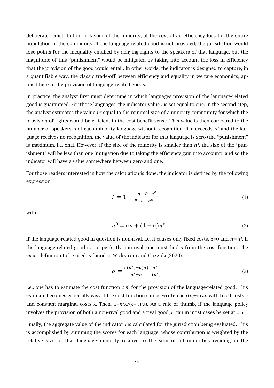deliberate redistribution in favour of the minority, at the cost of an efficiency loss for the entire population in the community. If the language-related good is not provided, the jurisdiction would lose points for the inequality entailed by denying rights to the speakers of that language, but the magnitude of this "punishment" would be mitigated by taking into account the loss in efficiency that the provision of the good would entail. In other words, the indicator is designed to capture, in a quantifiable way, the classic trade-off between efficiency and equality in welfare economics, applied here to the provision of language-related goods.

In practice, the analyst first must determine in which languages provision of the language-related good is guaranteed. For those languages, the indicator value *I* is set equal to one. In the second step, the analyst estimates the value *n\** equal to the minimal size of a minority community for which the provision of rights would be efficient in the cost-benefit sense. This value is then compared to the number of speakers *n* of each minority language without recognition. If *n* exceeds *n\** and the language receives no recognition, the value of the indicator for that language is zero (the "punishment" is maximum, i.e. one). However, if the size of the minority is smaller than *n\**, the size of the "punishment" will be less than one (mitigation due to taking the efficiency gain into account), and so the indicator will have a value somewhere between zero and one.

For those readers interested in how the calculation is done, the indicator is defined by the following expression:

$$
I = 1 - \frac{n}{P - n} \frac{P - n^0}{n^0}
$$
 (1)

with

$$
n^0 = \sigma n + (1 - \sigma)n^*
$$
 (2)

If the language-related good in question is non-rival, i.e. it causes only fixed costs,  $\sigma$ =0 and  $n^{\circ}$ =*n\**. If the language-related good is not perfectly non-rival, one must find  $\sigma$  from the cost function. The exact definition to be used is found in Wickström and Gazzola (2020):

$$
\sigma = \frac{c(n^*) - c(n)}{n^* - n} \frac{n^*}{c(n^*)}
$$
\n<sup>(3)</sup>

I.e., one has to estimate the cost function  $c(n)$  for the provision of the language-related good. This estimate becomes especially easy if the cost function can be written as  $c(n)=k+\lambda n$  with fixed costs  $\kappa$ and constant marginal costs  $\lambda$ . Then,  $\sigma = n^*\lambda/(\kappa + n^*\lambda)$ . As a rule of thumb, if the language policy involves the provision of both a non-rival good and a rival good,  $\sigma$  can in most cases be set at 0.5.

Finally, the aggregate value of the indicator *I* is calculated for the jurisdiction being evaluated. This is accomplished by summing the scores for each language, whose contribution is weighted by the relative size of that language minority relative to the sum of all minorities residing in the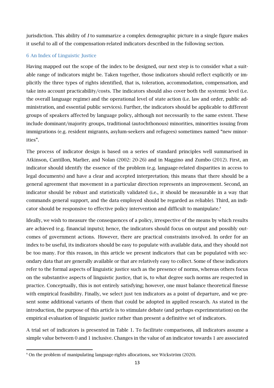jurisdiction. This ability of *I* to summarize a complex demographic picture in a single figure makes it useful to all of the compensation-related indicators described in the following section.

#### 6 An Index of Linguistic Justice

Having mapped out the scope of the index to be designed, our next step is to consider what a suitable range of indicators might be. Taken together, those indicators should reflect explicitly or implicitly the three types of rights identified, that is, toleration, accommodation, compensation, and take into account practicability/costs. The indicators should also cover both the systemic level (i.e. the overall language regime) and the operational level of state action (i.e. law and order, public administration, and essential public services). Further, the indicators should be applicable to different groups of speakers affected by language policy, although not necessarily to the same extent. These include dominant/majority groups, traditional (autochthonous) minorities, minorities issuing from immigrations (e.g. resident migrants, asylum-seekers and refugees) sometimes named "new minorities".

The process of indicator design is based on a series of standard principles well summarised in Atkinson, Cantillon, Marlier, and Nolan (2002: 20-26) and in Maggino and Zumbo (2012). First, an indicator should identify the essence of the problem (e.g. language-related disparities in access to legal documents) and have a clear and accepted interpretation; this means that there should be a general agreement that movement in a particular direction represents an improvement. Second, an indicator should be robust and statistically validated (i.e., it should be measurable in a way that commands general support, and the data employed should be regarded as reliable). Third, an indicator should be responsive to effective policy intervention and difficult to manipulate. 8

Ideally, we wish to measure the consequences of a policy, irrespective of the means by which results are achieved (e.g. financial inputs); hence, the indicators should focus on output and possibly outcomes of government actions. However, there are practical constraints involved. In order for an index to be useful, its indicators should be easy to populate with available data, and they should not be too many. For this reason, in this article we present indicators that can be populated with secondary data that are generally available or that are relatively easy to collect. Some of these indicators refer to the formal aspects of linguistic justice such as the presence of norms, whereas others focus on the substantive aspects of linguistic justice, that is, to what degree such norms are respected in practice. Conceptually, this is not entirely satisfying; however, one must balance theoretical finesse with empirical feasibility. Finally, we select just ten indicators as a point of departure, and we present some additional variants of them that could be adopted in applied research. As stated in the introduction, the purpose of this article is to stimulate debate (and perhaps experimentation) on the empirical evaluation of linguistic justice rather than present a definitive set of indicators.

A trial set of indicators is presented in Table 1. To facilitate comparisons, all indicators assume a simple value between 0 and 1 inclusive. Changes in the value of an indicator towards 1 are associated

<sup>8.</sup> On the problem of manipulating language-rights allocations, see Wickström (2020).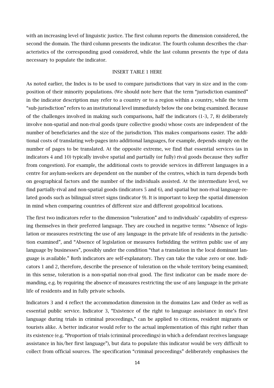with an increasing level of linguistic justice. The first column reports the dimension considered, the second the domain. The third column presents the indicator. The fourth column describes the characteristics of the corresponding good considered, while the last column presents the type of data necessary to populate the indicator.

#### INSERT TABLE 1 HERE

As noted earlier, the Index is to be used to compare jurisdictions that vary in size and in the composition of their minority populations. (We should note here that the term "jurisdiction examined" in the indicator description may refer to a country or to a region within a country, while the term "sub-jurisdiction" refers to an institutional level immediately below the one being examined. Because of the challenges involved in making such comparisons, half the indicators (1-3, 7, 8) deliberately involve non-spatial and non-rival goods (pure collective goods) whose costs are independent of the number of beneficiaries and the size of the jurisdiction. This makes comparisons easier. The additional costs of translating web-pages into additional languages, for example, depends simply on the number of pages to be translated. At the opposite extreme, we find that essential services (as in indicators 4 and 10) typically involve spatial and partially (or fully) rival goods (because they suffer from congestion). For example, the additional costs to provide services in different languages in a centre for asylum-seekers are dependent on the number of the centres, which in turn depends both on geographical factors and the number of the individuals assisted. At the intermediate level, we find partially-rival and non-spatial goods (indicators 5 and 6), and spatial but non-rival language-related goods such as bilingual street signs (indicator 9). It is important to keep the spatial dimension in mind when comparing countries of different size and different geopolitical locations.

The first two indicators refer to the dimension "toleration" and to individuals' capability of expressing themselves in their preferred language. They are couched in negative terms: "Absence of legislation or measures restricting the use of any language in the private life of residents in the jurisdiction examined", and "Absence of legislation or measures forbidding the written public use of any language by businesses", possibly under the condition "that a translation in the local dominant language is available." Both indicators are self-explanatory. They can take the value zero or one. Indicators 1 and 2, therefore, describe the presence of toleration on the whole territory being examined; in this sense, toleration is a non-spatial non-rival good. The first indicator can be made more demanding, e.g. by requiring the absence of measures restricting the use of any language in the private life of residents and in fully private schools.

Indicators 3 and 4 reflect the accommodation dimension in the domains Law and Order as well as essential public service. Indicator 3, "Existence of the right to language assistance in one's first language during trials in criminal proceedings," can be applied to citizens, resident migrants or tourists alike. A better indicator would refer to the actual implementation of this right rather than its existence (e.g. "Proportion of trials (criminal proceedings) in which a defendant receives language assistance in his/her first language"), but data to populate this indicator would be very difficult to collect from official sources. The specification "criminal proceedings" deliberately emphasises the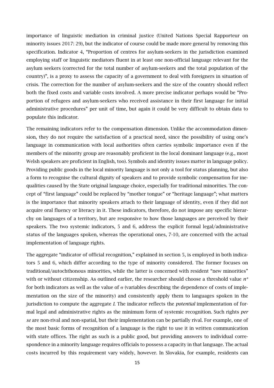importance of linguistic mediation in criminal justice (United Nations Special Rapporteur on minority issues 2017: 29), but the indicator of course could be made more general by removing this specification. Indicator 4, "Proportion of centres for asylum-seekers in the jurisdiction examined employing staff or linguistic mediators fluent in at least one non-official language relevant for the asylum seekers (corrected for the total number of asylum-seekers and the total population of the country)", is a proxy to assess the capacity of a government to deal with foreigners in situation of crisis. The correction for the number of asylum-seekers and the size of the country should reflect both the fixed costs and variable costs involved. A more precise indicator perhaps would be "Proportion of refugees and asylum-seekers who received assistance in their first language for initial administrative procedures" per unit of time, but again it could be very difficult to obtain data to populate this indicator.

The remaining indicators refer to the compensation dimension. Unlike the accommodation dimension, they do not require the satisfaction of a practical need, since the possibility of using one's language in communication with local authorities often carries symbolic importance even if the members of the minority group are reasonably proficient in the local dominant language (e.g., most Welsh speakers are proficient in English, too). Symbols and identity issues matter in language policy. Providing public goods in the local minority language is not only a tool for status planning, but also a form to recognise the cultural dignity of speakers and to provide symbolic compensation for inequalities caused by the State original language choice, especially for traditional minorities. The concept of "first language" could be replaced by "mother tongue" or "heritage language"; what matters is the importance that minority speakers attach to their language of identity, even if they did not acquire oral fluency or literacy in it. These indicators, therefore, do not impose any specific hierarchy on languages of a territory, but are responsive to how those languages are perceived by their speakers. The two systemic indicators, 5 and 6, address the explicit formal legal/administrative status of the languages spoken, whereas the operational ones, 7-10, are concerned with the actual implementation of language rights.

The aggregate "indicator of official recognition," explained in section 5, is employed in both indicators 5 and 6, which differ according to the type of minority considered. The former focuses on traditional/autochthonous minorities, while the latter is concerned with resident "new minorities" with or without citizenship. As outlined earlier, the researcher should choose a threshold value *n\** for both indicators as well as the value of  $\sigma$  (variables describing the dependence of costs of implementation on the size of the minority) and consistently apply them to languages spoken in the jurisdiction to compute the aggregate *I.* The indicator reflects the *potential* implementation of formal legal and administrative rights as the minimum form of systemic recognition. Such rights *per se* are non-rival and non-spatial, but their implementation can be partially rival. For example, one of the most basic forms of recognition of a language is the right to use it in written communication with state offices. The right as such is a public good, but providing answers to individual correspondence in a minority language requires officials to possess a capacity in that language. The actual costs incurred by this requirement vary widely, however. In Slovakia, for example, residents can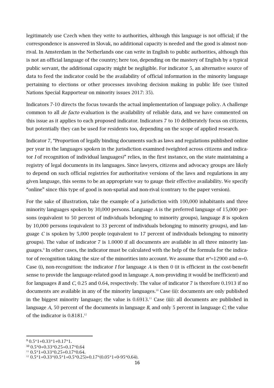legitimately use Czech when they write to authorities, although this language is not official; if the correspondence is answered in Slovak, no additional capacity is needed and the good is almost nonrival. In Amsterdam in the Netherlands one can write in English to public authorities, although this is not an official language of the country; here too, depending on the mastery of English by a typical public servant, the additional capacity might be negligible. For indicator 5, an alternative source of data to feed the indicator could be the availability of official information in the minority language pertaining to elections or other processes involving decision making in public life (see United Nations Special Rapporteur on minority issues 2017: 35).

Indicators 7-10 directs the focus towards the actual implementation of language policy. A challenge common to all *de facto* evaluation is the availability of reliable data, and we have commented on this issue as it applies to each proposed indicator. Indicators 7 to 10 deliberately focus on citizens, but potentially they can be used for residents too, depending on the scope of applied research.

Indicator 7, "Proportion of legally binding documents such as laws and regulations published online per year in the languages spoken in the jurisdiction examined (weighted across citizens and indicator *I* of recognition of individual languages)" relies, in the first instance, on the state maintaining a registry of legal documents in its languages. Since lawyers, citizens and advocacy groups are likely to depend on such official registries for authoritative versions of the laws and regulations in any given language, this seems to be an appropriate way to gauge their effective availability. We specify "online" since this type of good is non-spatial and non-rival (contrary to the paper version).

For the sake of illustration, take the example of a jurisdiction with 100,000 inhabitants and three minority languages spoken by 30,000 persons. Language *A* is the preferred language of 15,000 persons (equivalent to 50 percent of individuals belonging to minority groups), language *B* is spoken by 10,000 persons (equivalent to 33 percent of individuals belonging to minority groups), and language *C* is spoken by 5,000 people (equivalent to 17 percent of individuals belonging to minority groups). The value of indicator 7 is 1.0000 if all documents are available in all three minority languages.9 In other cases, the indicator must be calculated with the help of the formula for the indicator of recognition taking the size of the minorities into account. We assume that  $n^*=12900$  and  $\sigma=0$ . Case (i), non-recognition: the indicator *I* for language *A* is then 0 (it is efficient in the cost-benefit sense to provide the language-related good in language *A,* non-providing it would be inefficient) and for languages *B* and *C*, 0.25 and 0.64, respectively. The value of indicator 7 is therefore 0.1913 if no documents are available in any of the minority languages. <sup>10</sup> Case (ii): documents are only published in the biggest minority language; the value is  $0.6913.^{\text{n}}$  Case (iii): all documents are published in language *A*, 50 percent of the documents in language *B*, and only 5 percent in language *C*; the value of the indicator is  $0.8181.^{12}$ 

 $90.5*1+0.33*1+0.17*1$ .

<sup>10</sup> 0.5\*0+0.33\*0.25+0.17\*0.64

 $11$  0.5\*1+0.33\*0.25+0.17\*0.64.

 $12$  0.5\*1+0.33\*(0.5\*1+0.5\*0.25)+0.17\*(0.05\*1+0-95\*0.64).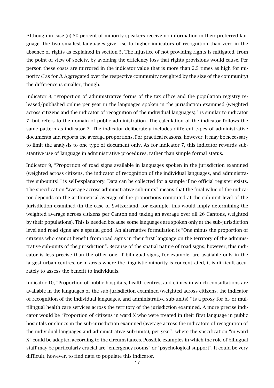Although in case (ii) 50 percent of minority speakers receive no information in their preferred language, the two smallest languages give rise to higher indicators of recognition than zero in the absence of rights as explained in section 5. The injustice of not providing rights is mitigated, from the point of view of society, by avoiding the efficiency loss that rights provisions would cause. Per person these costs are mirrored in the indicator value that is more than 2.5 times as high for minority *C* as for *B*. Aggregated over the respective community (weighted by the size of the community) the difference is smaller, though.

Indicator 8, "Proportion of administrative forms of the tax office and the population registry released/published online per year in the languages spoken in the jurisdiction examined (weighted across citizens and the indicator of recognition of the individual languages)," is similar to indicator 7, but refers to the domain of public administration. The calculation of the indicator follows the same pattern as indicator 7. The indicator deliberately includes different types of administrative documents and reports the average proportions. For practical reasons, however, it may be necessary to limit the analysis to one type of document only. As for indicator 7, this indicator rewards substantive use of language in administrative procedures, rather than simple formal status.

Indicator 9, "Proportion of road signs available in languages spoken in the jurisdiction examined (weighted across citizens, the indicator of recognition of the individual languages, and administrative sub-units)," is self-explanatory. Data can be collected for a sample if no official register exists. The specification "average across administrative sub-units" means that the final value of the indicator depends on the arithmetical average of the proportions computed at the sub-unit level of the jurisdiction examined (in the case of Switzerland, for example, this would imply determining the weighted average across citizens per Canton and taking an average over all 26 Cantons, weighted by their populations). This is needed because some languages are spoken only at the sub-jurisdiction level and road signs are a spatial good. An alternative formulation is "One minus the proportion of citizens who cannot benefit from road signs in their first language on the territory of the administrative sub-units of the jurisdiction". Because of the spatial nature of road signs, however, this indicator is less precise than the other one. If bilingual signs, for example, are available only in the largest urban centres, or in areas where the linguistic minority is concentrated, it is difficult accurately to assess the benefit to individuals.

Indicator 10, "Proportion of public hospitals, health centres, and clinics in which consultations are available in the languages of the sub-jurisdiction examined (weighted across citizens, the indicator of recognition of the individual languages, and administrative sub-units)," is a proxy for bi- or multilingual health care services across the territory of the jurisdiction examined. A more precise indicator would be "Proportion of citizens in ward X who were treated in their first language in public hospitals or clinics in the sub-jurisdiction examined (average across the indicators of recognition of the individual languages and administrative sub-units), per year", where the specification "in ward X" could be adapted according to the circumstances. Possible examples in which the role of bilingual staff may be particularly crucial are "emergency rooms" or "psychological support". It could be very difficult, however, to find data to populate this indicator.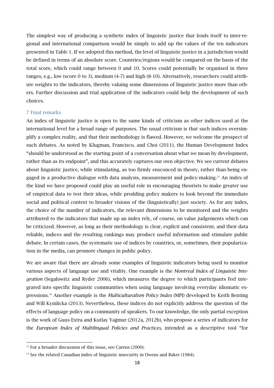The simplest way of producing a synthetic index of linguistic justice that lends itself to inter-regional and international comparison would be simply to add up the values of the ten indicators presented in Table 1. If we adopted this method, the level of linguistic justice in a jurisdiction would be defined in terms of an absolute score. Countries/regions would be compared on the basis of the total score, which could range between 0 and 10. Scores could potentially be organised in three ranges, e.g., low (score 0 to 3), medium (4-7) and high (8-10). Alternatively, researchers could attribute weights to the indicators, thereby valuing some dimensions of linguistic justice more than others. Further discussion and trial application of the indicators could help the development of such choices.

#### 7 Final remarks

An index of linguistic justice is open to the same kinds of criticism as other indices used at the international level for a broad range of purposes. The usual criticism is that such indices oversimplify a complex reality, and that their methodology is flawed. However, we welcome the prospect of such debates. As noted by Klugman, Francisco, and Choi (2011), the Human Development Index "should be understood as the starting point of a conversation about what we mean by development, rather than as its endpoint", and this accurately captures our own objective. We see current debates about linguistic justice, while stimulating, as too firmly ensconced in theory, rather than being engaged in a productive dialogue with data analysis, measurement and policy-making.<sup>13</sup> An index of the kind we have proposed could play an useful role in encouraging theorists to make greater use of empirical data to test their ideas, while prodding policy makers to look beyond the immediate social and political context to broader visions of the (linguistically) just society. As for any index, the choice of the number of indicators, the relevant dimensions to be monitored and the weights attributed to the indicators that made up an index rely, of course, on value judgements which can be criticized. However, as long as their methodology is clear, explicit and consistent, and their data reliable, indices and the resulting rankings may produce useful information and stimulate public debate. In certain cases, the systematic use of indices by countries, or, sometimes, their popularization in the media, can promote changes in public policy.

We are aware that there are already some examples of linguistic indicators being used to monitor various aspects of language use and vitality. One example is the *Montreal Index of Linguistic Integration* (Segalowitz and Ryder 2006), which measures the degree to which participants feel integrated into specific linguistic communities when using language involving everyday idiomatic expressions. <sup>14</sup> Another example is the *Multiculturalism Policy Index* (MPI) developed by Keith Benting and Will Kymlicka (2013). Nevertheless, these indices do not explicitly address the question of the effects of language policy on a community of speakers. To our knowledge, the only partial exception is the work of Guus Extra and Kutlay Yağmur (2012a, 2012b), who propose a series of indicators for the *European Index of Multilingual Policies and Practices*, intended as a descriptive tool "for

<sup>&</sup>lt;sup>13</sup> For a broader discussion of this issue, see Carens (2000).

<sup>&</sup>lt;sup>14</sup> See the related Canadian index of linguistic insecurity in Owens and Baker (1984).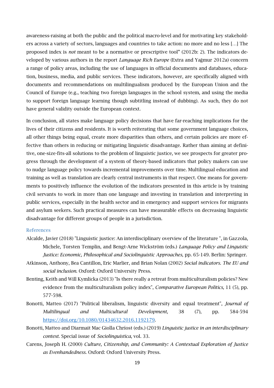awareness-raising at both the public and the political macro-level and for motivating key stakeholders across a variety of sectors, languages and countries to take action: no more and no less […] The proposed index is *not* meant to be a normative or prescriptive tool" (2012b: 2). The indicators developed by various authors in the report *Language Rich Europe* (Extra and Yağmur 2012a) concern a range of policy areas, including the use of languages in official documents and databases, education, business, media, and public services. These indicators, however, are specifically aligned with documents and recommendations on multilingualism produced by the European Union and the Council of Europe (e.g., teaching two foreign languages in the school system, and using the media to support foreign language learning though subtitling instead of dubbing). As such, they do not have general validity outside the European context.

In conclusion, all states make language policy decisions that have far-reaching implications for the lives of their citizens and residents. It is worth reiterating that some government language choices, all other things being equal, create more disparities than others, and certain policies are more effective than others in reducing or mitigating linguistic disadvantage. Rather than aiming at definitive, one-size-fits-all solutions to the problem of linguistic justice, we see prospects for greater progress through the development of a system of theory-based indicators that policy makers can use to nudge language policy towards incremental improvements over time. Multilingual education and training as well as translation are clearly central instruments in that respect. One means for governments to positively influence the evolution of the indicators presented in this article is by training civil servants to work in more than one language and investing in translation and interpreting in public services, especially in the health sector and in emergency and support services for migrants and asylum seekers. Such practical measures can have measurable effects on decreasing linguistic disadvantage for different groups of people in a jurisdiction.

#### References

- Alcalde, Javier (2018) "Linguistic justice: An interdisciplinary overview of the literature ", in Gazzola, Michele, Torsten Templin, and Bengt-Arne Wickström (eds.) *Language Policy and Linguistic Justice: Economic, Philosophical and Sociolinguistic Approaches*, pp. 65-149. Berlin: Springer.
- Atkinson, Anthony, Bea Cantillon, Eric Marlier, and Brian Nolan (2002) *Social indicators. The EU and social inclusion*. Oxford: Oxford University Press.
- Benting, Keith and Will Kymlicka (2013) "Is there really a retreat from multiculturalism policies? New evidence from the multiculturalism policy index", *Comparative European Politics,* 11 (5), pp. 577-598.
- Bonotti, Matteo (2017) "Political liberalism, linguistic diversity and equal treatment", *Journal of Multilingual and Multicultural Development,* 38 (7), pp. 584-594 https://doi.org/10.1080/01434632.2016.1192179.
- Bonotti, Matteo and Diarmait Mac Giolla Chríost (eds.) (2019) *Linguistic justice in an interdisciplinary context*. Special issue of *Sociolinguistica*, vol. 33.
- Carens, Joseph H. (2000) *Culture, Citizenship, and Community: A Contextual Exploration of Justice as Evenhandedness*. Oxford: Oxford University Press.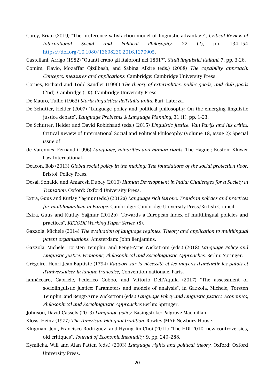Carey, Brian (2019) "The preference satisfaction model of linguistic advantage", *Critical Review of International Social and Political Philosophy,* 22 (2), pp. 134-154 https://doi.org/10.1080/13698230.2016.1270905.

Castellani, Arrigo (1982) "Quanti erano gli italofoni nel 1861?", *Studi linguistici italiani,* 7, pp. 3-26.

- Comim, Flavio, Mozaffar Qizilbash, and Sabina Alkire (eds.) (2008) *The capability approach: Concepts, measures and applications*. Cambridge: Cambridge University Press.
- Cornes, Richard and Todd Sandler (1996) *The theory of externalities, public goods, and club goods* (2nd). Cambridge (UK): Cambridge University Press.
- De Mauro, Tullio (1963) *Storia linguistica dell'Italia unita*. Bari: Laterza.
- De Schutter, Helder (2007) "Language policy and political philosophy: On the emerging linguistic justice debate", *Language Problems & Language Planning,* 31 (1), pp. 1-23.
- De Schutter, Helder and David Robichaud (eds.) (2015) *Linguistic justice. Van Parijs and his critics*. Critical Review of International Social and Political Philosophy (Volume 18, Issue 2): Special issue of
- de Varennes, Fernand (1996) *Language, minorities and human rights*. The Hague ; Boston: Kluwer Law International.
- Deacon, Bob (2013) *Global social policy in the making: The foundations of the social protection floor*. Bristol: Policy Press.
- Desai, Sonalde and Amaresh Dubey (2010) *Human Development in India: Challenges for a Society in Transition*. Oxford: Oxford University Press.
- Extra, Guus and Kutlay Yağmur (eds.) (2012a) *Language rich Europe. Trends in policies and practices for multilingualism in Europe*. Cambridge: Cambridge University Press/British Council.
- Extra, Guus and Kutlay Yağmur (2012b) "Towards a European index of multilingual policies and practices", *RECODE Working Paper Series,* (8).
- Gazzola, Michele (2014) *The evaluation of language regimes. Theory and application to multilingual patent organisations*. Amsterdam: John Benjamins.
- Gazzola, Michele, Torsten Templin, and Bengt-Arne Wickström (eds.) (2018) *Language Policy and Linguistic Justice. Economic, Philosophical and Sociolinguistic Approaches*. Berlin: Springer.
- Grégoire, Henri Jean-Baptiste (1794) *Rapport sur la nécessité et les moyens d'anéantir les patois et d'universaliser la langue française*, Convention nationale. Paris.
- Iannàccaro, Gabriele, Federico Gobbo, and Vittorio Dell'Aquila (2017) "The assessment of sociolinguistic justice: Parameters and models of analysis", in Gazzola, Michele, Torsten Templin, and Bengt-Arne Wickström (eds.) *Language Policy and Linguistic Justice: Economics, Philosophical and Sociolinguistic Approaches* Berlin: Springer.
- Johnson, David Cassels (2013) *Language policy*. Basingstoke: Palgrave Macmillan.
- Kloss, Heinz (1977) *The American bilingual tradition*. Rowley (MA): Newbury House.
- Klugman, Jeni, Francisco Rodriguez, and Hyung-Jin Choi (2011) "The HDI 2010: new controversies, old critiques", *Journal of Economic Inequality,* 9, pp. 249–288.
- Kymlicka, Will and Alan Patten (eds.) (2003) *Language rights and political theory*. Oxford: Oxford University Press.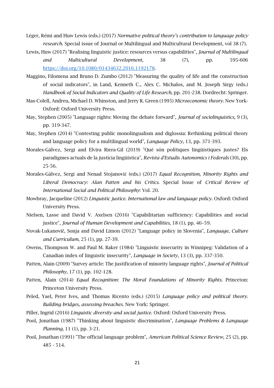- Léger, Rémi and Huw Lewis (eds.) (2017) *Normative political theory's contribution to language policy research*. Special issue of Journal or Multilingual and Multicultural Development, vol 38 (7).
- Lewis, Huw (2017) "Realising linguistic justice: resources versus capabilities", *Journal of Multilingual and Multicultural Development,* 38 (7), pp. 595-606 https://doi.org/10.1080/01434632.2016.1192178.
- Maggino, Filomena and Bruno D. Zumbo (2012) "Measuring the quality of life and the construction of social indicators", in Land, Kenneth C., Alex C. Michalos, and M. Joseph Sirgy (eds.) *Handbook of Social Indicators and Quality of Life Research*, pp. 201-238. Dordrecht: Springer.
- Mas-Colell, Andreu, Michael D. Whinston, and Jerry R. Green (1995) *Microeconomic theory*. New York-Oxford: Oxford University Press.
- May, Stephen (2005) "Language rights: Moving the debate forward", *Journal of sociolinguistics,* 9 (3), pp. 319-347.
- May, Stephen (2014) "Contesting public monolingualism and diglossia: Rethinking political theory and language policy for a multilingual world", *Language Policy,* 13, pp. 371-393.
- Morales-Gálvez, Sergi and Elvira Riera-Gil (2019) "Què són polítiques lingüístiques justes? Els paradigmes actuals de la justícia lingüística", *Revista d'Estudis Autonomics i Federals* (30), pp. 25-56.
- Morales-Gálvez, Sergi and Nenad Stojanović (eds.) (2017) *Equal Recognition, Minority Rights and Liberal Democracy: Alan Patten and his Critics*. Special Issue of *Critical Review of International Social and Political Philosophy*: Vol. 20.
- Mowbray, Jacqueline (2012) *Linguistic justice. International law and language policy*. Oxford: Oxford University Press.
- Nielsen, Lasse and David V. Axelsen (2016) "Capabilitarian sufficiency: Capabilities and social justice", *Journal of Human Development and Capabilities,* 18 (1), pp. 46–59.
- Novak-Lukanovič, Sonja and David Limon (2012) "Language policy in Slovenia", *Language, Culture and Curriculum,* 25 (1), pp. 27-39.
- Owens, Thompson W. and Paul M. Baker (1984) "Linguistic insecurity in Winnipeg: Validation of a Canadian index of linguistic insecurity", *Language in Society,* 13 (3), pp. 337-350.
- Patten, Alain (2009) "Survey article: The justification of minority language rights", *Journal of Political Philosophy,* 17 (1), pp. 102-128.
- Patten, Alain (2014) *Equal Recognition: The Moral Foundations of Minority Rights*. Princeton: Princeton University Press.
- Peled, Yael, Peter Ives, and Thomas Ricento (eds.) (2015) *Language policy and political theory. Building bridges, assessing breaches*. New York: Springer.
- Piller, Ingrid (2016) *Linguistic diversity and social justice*. Oxford: Oxford University Press.
- Pool, Jonathan (1987) "Thinking about linguistic discrimination", *Language Problems & Language Planning,* 11 (1), pp. 3-21.
- Pool, Jonathan (1991) "The official language problem", *American Political Science Review,* 25 (2), pp. 485 - 514.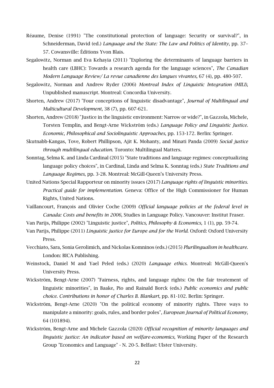- Réaume, Denise (1991) "The constitutional protection of language: Security or survival?", in Schneiderman, David (ed.) *Language and the State: The Law and Politics of Identity*, pp. 37– 57. Cowansville: Éditions Yvon Blais.
- Segalowitz, Norman and Eva Kehayia (2011) "Exploring the determinants of language barriers in health care (LBHC): Towards a research agenda for the language sciences", *The Canadian Modern Language Review/ La revue canadienne des langues vivantes,* 67 (4), pp. 480-507.
- Segalowitz, Norman and Andrew Ryder (2006) *Montreal Index of Linguistic Integration (MILI)*, Unpublished manuscript. Montreal: Concordia University.
- Shorten, Andrew (2017) "Four conceptions of linguistic disadvantage", *Journal of Multilingual and Multicultural Development,* 38 (7), pp. 607-621.
- Shorten, Andrew (2018) "Justice in the linguistic environment: Narrow or wide?", in Gazzola, Michele, Torsten Templin, and Bengt-Arne Wickström (eds.) *Language Policy and Linguistic Justice. Economic, Philosophical and Sociolinguistic Approaches*, pp. 153-172. Berlin: Springer.
- Skutnabb-Kangas, Tove, Robert Phillipson, Ajit K. Mohanty, and Minati Panda (2009) *Social justice through multilingual education*. Toronto: Multilingual Matters.
- Sonntag, Selma K. and Linda Cardinal (2015) "State traditions and language regimes: conceptualizing language policy choices", in Cardinal, Linda and Selma K. Sonntag (eds.) *State Traditions and Language Regimes*, pp. 3-28. Montreal: McGill-Queen's University Press.
- United Nations Special Rapporteur on minority issues (2017) *Language rights of linguistic minorities. Practical guide for implementation*. Geneva: Office of the High Commissioner for Human Rights, United Nations.
- Vaillancourt, François and Olivier Coche (2009) *Official language policies at the federal level in Canada: Costs and benefits in 2006*, Studies in Language Policy. Vancouver: Institut Fraser.
- Van Parijs, Philippe (2002) "Linguistic justice", *Politics, Philosophy & Economics,* 1 (1), pp. 59-74.
- Van Parijs, Philippe (2011) *Linguistic justice for Europe and for the World*. Oxford: Oxford University Press.
- Vecchiato, Sara, Sonia Gerolimich, and Nickolas Komninos (eds.) (2015) *Plurilingualism in healthcare*. London: BICA Publishing.
- Weinstock, Daniel M and Yael Peled (eds.) (2020) *Language ethics*. Montreal: McGill-Queen's University Press.
- Wickström, Bengt-Arne (2007) "Fairness, rights, and language rights: On the fair treatement of linguistic minorities", in Baake, Pio and Rainald Borck (eds.) *Public economics and public choice. Contributions in honor of Charles B. Blankart*, pp. 81-102. Berlin: Springer.
- Wickström, Bengt-Arne (2020) "On the political economy of minority rights. Three ways to manipulate a minority: goals, rules, and border poles", *European Journal of Political Economy,* 64 (101894).
- Wickström, Bengt-Arne and Michele Gazzola (2020) *Official recognition of minority languages and linguistic justice: An indicator based on welfare-economics*, Working Paper of the Research Group "Economics and Language" - N. 20-5. Belfast: Ulster University.